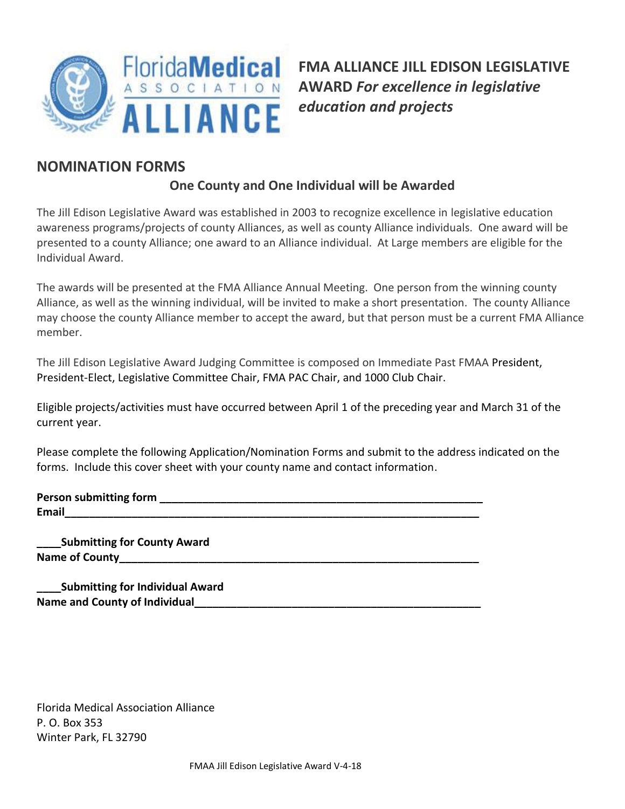

**FMA ALLIANCE JILL EDISON LEGISLATIVE AWARD** *For excellence in legislative education and projects*

## **NOMINATION FORMS**

## **One County and One Individual will be Awarded**

The Jill Edison Legislative Award was established in 2003 to recognize excellence in legislative education awareness programs/projects of county Alliances, as well as county Alliance individuals. One award will be presented to a county Alliance; one award to an Alliance individual. At Large members are eligible for the Individual Award.

The awards will be presented at the FMA Alliance Annual Meeting. One person from the winning county Alliance, as well as the winning individual, will be invited to make a short presentation. The county Alliance may choose the county Alliance member to accept the award, but that person must be a current FMA Alliance member.

The Jill Edison Legislative Award Judging Committee is composed on Immediate Past FMAA President, President-Elect, Legislative Committee Chair, FMA PAC Chair, and 1000 Club Chair.

Eligible projects/activities must have occurred between April 1 of the preceding year and March 31 of the current year.

Please complete the following Application/Nomination Forms and submit to the address indicated on the forms. Include this cover sheet with your county name and contact information.

| <b>Person submitting form</b> |  |
|-------------------------------|--|
| <b>Email</b>                  |  |

**\_\_\_\_Submitting for County Award** Name of County

**\_\_\_\_Submitting for Individual Award** Name and County of Individual

Florida Medical Association Alliance P. O. Box 353 Winter Park, FL 32790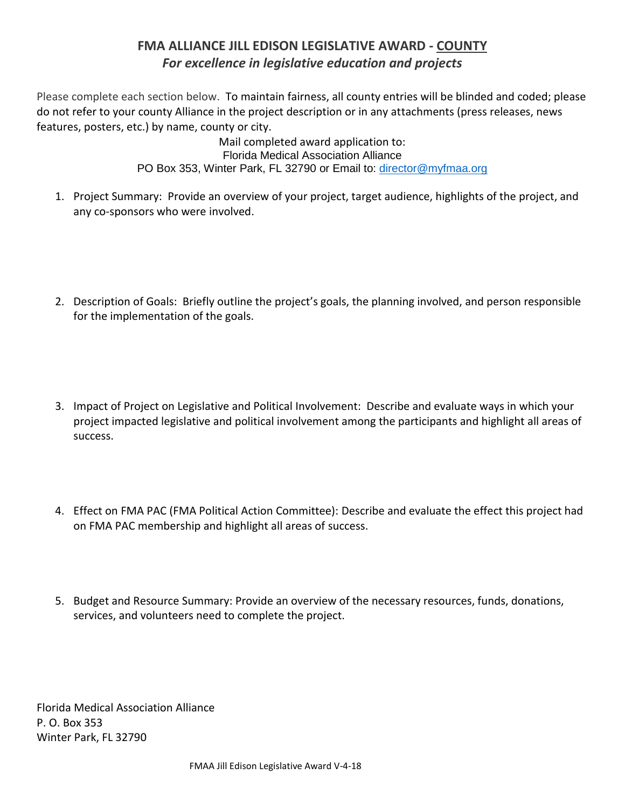## **FMA ALLIANCE JILL EDISON LEGISLATIVE AWARD - COUNTY** *For excellence in legislative education and projects*

Please complete each section below. To maintain fairness, all county entries will be blinded and coded; please do not refer to your county Alliance in the project description or in any attachments (press releases, news features, posters, etc.) by name, county or city.

> Mail completed award application to: Florida Medical Association Alliance PO Box 353, Winter Park, FL 32790 or Email to: [director@myfmaa.org](mailto:director@myfmaa.org)

- 1. Project Summary: Provide an overview of your project, target audience, highlights of the project, and any co-sponsors who were involved.
- 2. Description of Goals: Briefly outline the project's goals, the planning involved, and person responsible for the implementation of the goals.
- 3. Impact of Project on Legislative and Political Involvement: Describe and evaluate ways in which your project impacted legislative and political involvement among the participants and highlight all areas of success.
- 4. Effect on FMA PAC (FMA Political Action Committee): Describe and evaluate the effect this project had on FMA PAC membership and highlight all areas of success.
- 5. Budget and Resource Summary: Provide an overview of the necessary resources, funds, donations, services, and volunteers need to complete the project.

Florida Medical Association Alliance P. O. Box 353 Winter Park, FL 32790